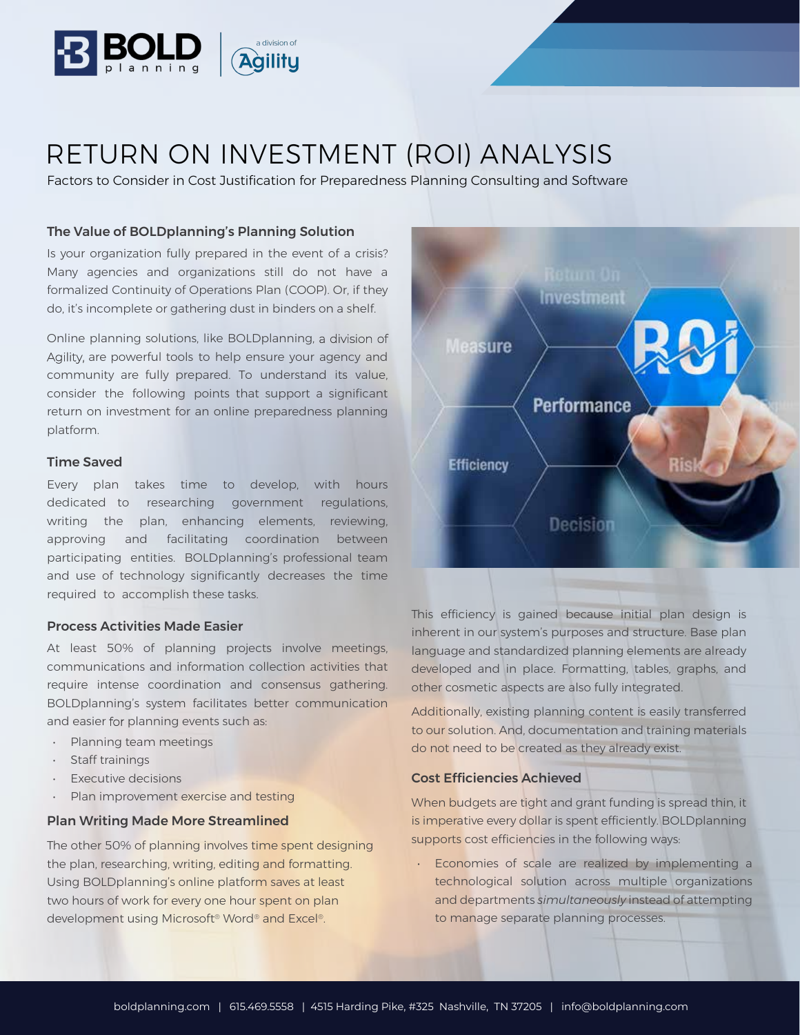

# RETURN ON INVESTMENT (ROI) ANALYSIS

Factors to Consider in Cost Justification for Preparedness Planning Consulting and Software

## The Value of BOLDplanning's Planning Solution

Is your organization fully prepared in the event of a crisis? Many agencies and organizations still do not have a formalized Continuity of Operations Plan (COOP). Or, if they do, it's incomplete or gathering dust in binders on a shelf.

Online planning solutions, like BOLDplanning, a division of Agility, are powerful tools to help ensure your agency and community are fully prepared. To understand its value, consider the following points that support a significant return on investment for an online preparedness planning platform.

#### Time Saved

Every plan takes time to develop, with hours dedicated to researching government regulations, writing the plan, enhancing elements, reviewing, approving and facilitating coordination between participating entities. BOLDplanning's professional team and use of technology significantly decreases the time required to accomplish these tasks.

#### Process Activities Made Easier

At least 50% of planning projects involve meetings, communications and information collection activities that require intense coordination and consensus gathering. BOLDplanning's system facilitates better communication and easier for planning events such as:

- Planning team meetings
- Staff trainings
- Executive decisions
- Plan improvement exercise and testing

### Plan Writing Made More Streamlined

The other 50% of planning involves time spent designing the plan, researching, writing, editing and formatting. Using BOLDplanning's online platform saves at least two hours of work for every one hour spent on plan development using Microsoft® Word® and Excel®.



This efficiency is gained because initial plan design is inherent in our system's purposes and structure. Base plan language and standardized planning elements are already developed and in place. Formatting, tables, graphs, and other cosmetic aspects are also fully integrated.

Additionally, existing planning content is easily transferred to our solution. And, documentation and training materials do not need to be created as they already exist.

## Cost Efficiencies Achieved

When budgets are tight and grant funding is spread thin, it is imperative every dollar is spent efficiently. BOLDplanning supports cost efficiencies in the following ways:

• Economies of scale are realized by implementing a technological solution across multiple organizations and departments *simultaneously* instead of attempting to manage separate planning processes.